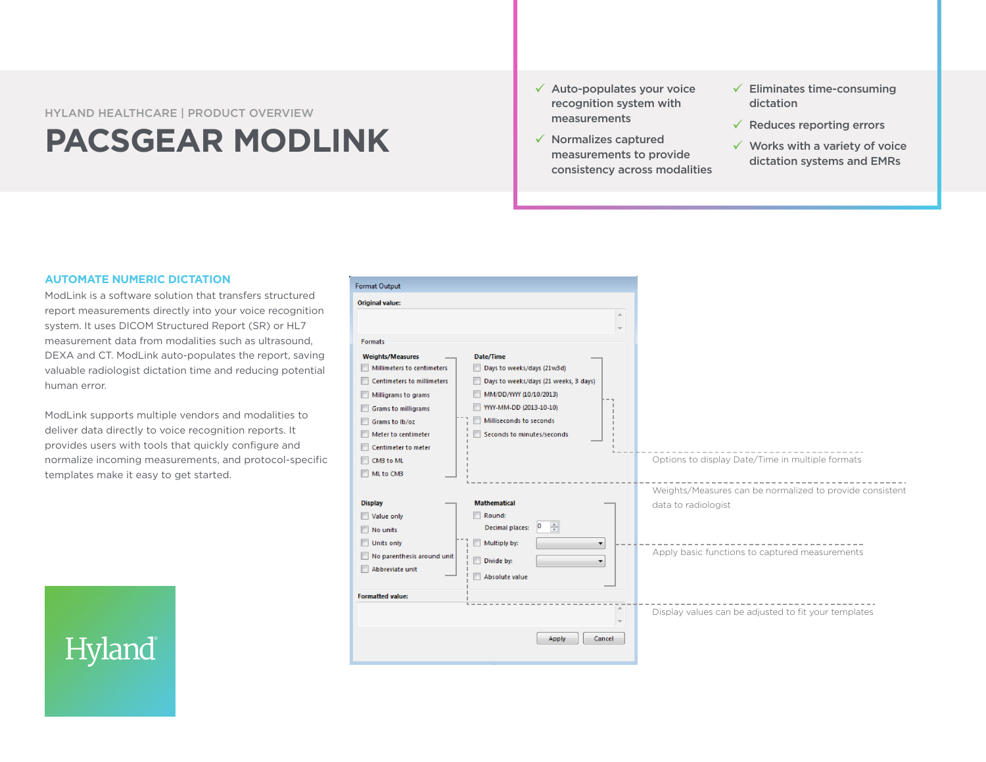## HYLAND HEALTHCARE | PRODUCT OVERVIEW **PACSGEAR MODLINK**

- $\checkmark$  Auto-populates your voice recognition system with measurements
- $\checkmark$  Normalizes captured measurements to provide consistency across modalities
- $\checkmark$  Eliminates time-consuming dictation
- $\checkmark$  Reduces reporting errors
- $\checkmark$  Works with a variety of voice dictation systems and EMRs

### **AUTOMATE NUMERIC DICTATION**

ModLink is a software solution that transfers structured report measurements directly into your voice recognition system. It uses DICOM Structured Report (SR) or HL7 measurement data from modalities such as ultrasound, DEXA and CT. ModLink auto-populates the report, saving valuable radiologist dictation time and reducing potential human error.

ModLink supports multiple vendors and modalities to deliver data directly to voice recognition reports. It provides users with tools that quickly configure and normalize incoming measurements, and protocol-specific templates make it easy to get started.



# Hyland